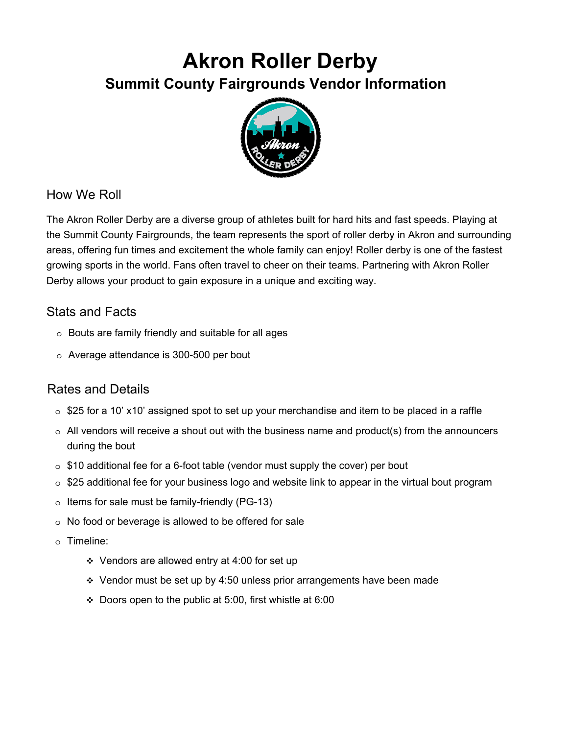## **Akron Roller Derby Summit County Fairgrounds Vendor Information**



## How We Roll

The Akron Roller Derby are a diverse group of athletes built for hard hits and fast speeds. Playing at the Summit County Fairgrounds, the team represents the sport of roller derby in Akron and surrounding areas, offering fun times and excitement the whole family can enjoy! Roller derby is one of the fastest growing sports in the world. Fans often travel to cheer on their teams. Partnering with Akron Roller Derby allows your product to gain exposure in a unique and exciting way.

## Stats and Facts

- o Bouts are family friendly and suitable for all ages
- o Average attendance is 300-500 per bout

## Rates and Details

- $\circ$  \$25 for a 10' x10' assigned spot to set up your merchandise and item to be placed in a raffle
- $\circ$  All vendors will receive a shout out with the business name and product(s) from the announcers during the bout
- $\circ$  \$10 additional fee for a 6-foot table (vendor must supply the cover) per bout
- $\circ$  \$25 additional fee for your business logo and website link to appear in the virtual bout program
- $\circ$  Items for sale must be family-friendly (PG-13)
- o No food or beverage is allowed to be offered for sale
- o Timeline:
	- Vendors are allowed entry at 4:00 for set up
	- $\div$  Vendor must be set up by 4:50 unless prior arrangements have been made
	- Doors open to the public at 5:00, first whistle at 6:00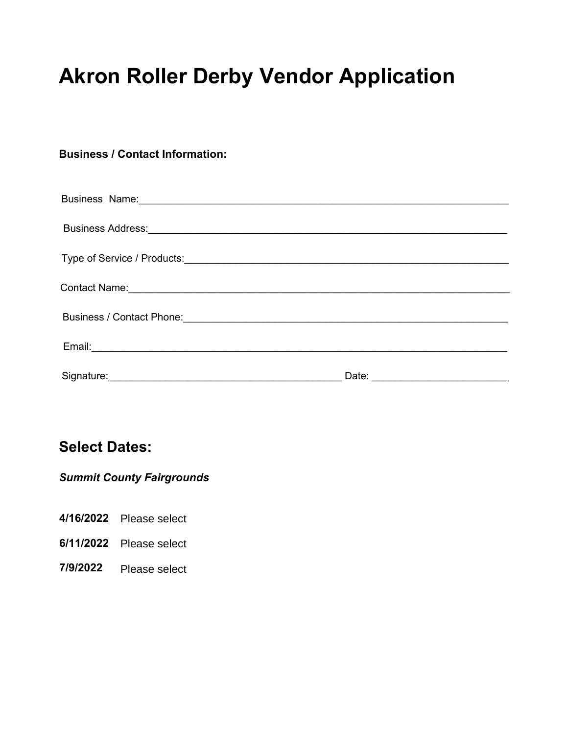# **Akron Roller Derby Vendor Application**

#### **Business / Contact Information:**

| Business Name: 2008 Communication of the Summary Communication of the Summary Communication of the Summary Communication of the Summary Communication of the Summary Communication of the Summary Communication of the Summary |  |
|--------------------------------------------------------------------------------------------------------------------------------------------------------------------------------------------------------------------------------|--|
|                                                                                                                                                                                                                                |  |
|                                                                                                                                                                                                                                |  |
|                                                                                                                                                                                                                                |  |
|                                                                                                                                                                                                                                |  |
|                                                                                                                                                                                                                                |  |
|                                                                                                                                                                                                                                |  |

## **Select Dates:**

## *Summit County Fairgrounds*

- **4/16/2022** Please select
- **6/11/2022** Please select
- **7/9/2022** Please select